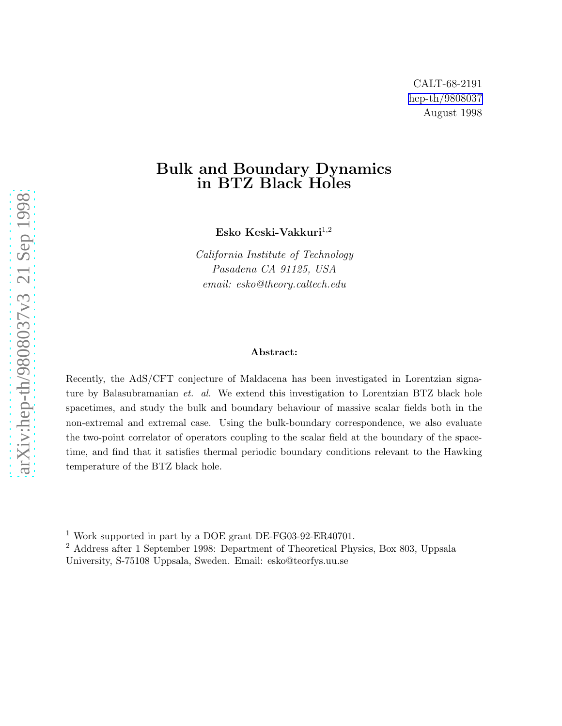## Bulk and Boundary Dynamics in BTZ Black Holes

Esko Keski-Vakkuri $^{1,2}$ 

*California Institute of Technology Pasadena CA 91125, USA email: esko@theory.caltech.edu*

#### Abstract:

Recently, the AdS/CFT conjecture of Maldacena has been investigated in Lorentzian signature by Balasubramanian *et. al.* We extend this investigation to Lorentzian BTZ black hole spacetimes, and study the bulk and boundary behaviour of massive scalar fields both in the non-extremal and extremal case. Using the bulk-boundary correspondence, we also evaluate the two-point correlator of operators coupling to the scalar field at the boundary of the spacetime, and find that it satisfies thermal periodic boundary conditions relevant to the Hawking temperature of the BTZ black hole.

<sup>1</sup> Work supported in part by a DOE grant DE-FG03-92-ER40701.

<sup>2</sup> Address after 1 September 1998: Department of Theoretical Physics, Box 803, Uppsala University, S-75108 Uppsala, Sweden. Email: esko@teorfys.uu.se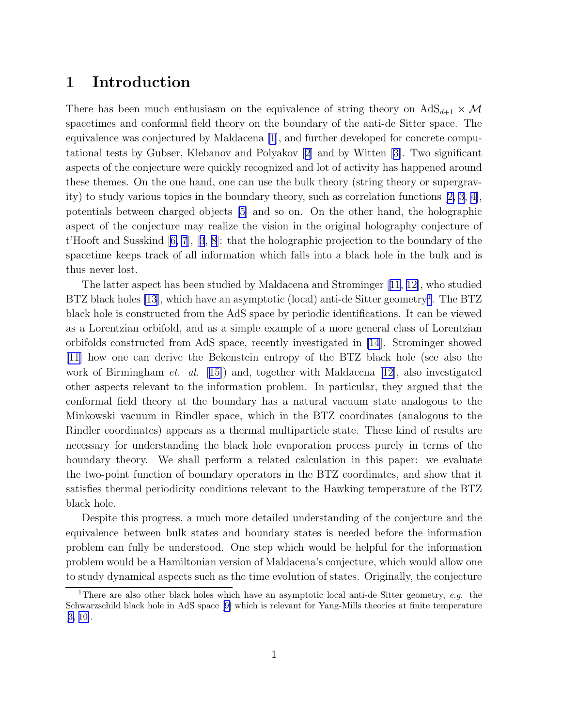## 1 Introduction

There has been much enthusiasm on the equivalence of string theory on  $AdS_{d+1} \times M$ spacetimes and conformal field theory on the boundary of the anti-de Sitter space. The equivalence was conjectured by Maldacena [\[1](#page-19-0)], and further developed for concrete computational tests by Gubser, Klebanov and Polyakov[[2](#page-19-0)] and by Witten[[3\]](#page-19-0). Two significant aspects of the conjecture were quickly recognized and lot of activity has happened around these themes. On the one hand, one can use the bulk theory (string theory or supergravity) to study various topics in the boundary theory, such as correlation functions[[2, 3](#page-19-0), [4\]](#page-20-0), potentials between charged objects [\[5](#page-20-0)] and so on. On the other hand, the holographic aspect of the conjecture may realize the vision in the original holography conjecture of t'Hooft and Susskind[[6, 7](#page-20-0)],[[3](#page-19-0), [8](#page-20-0)]: that the holographic projection to the boundary of the spacetime keeps track of all information which falls into a black hole in the bulk and is thus never lost.

The latter aspect has been studied by Maldacena and Strominger[[11](#page-20-0), [12\]](#page-20-0), who studied BTZ black holes [\[13](#page-21-0)], which have an asymptotic (local) anti-de Sitter geometry<sup>1</sup>. The BTZ black hole is constructed from the AdS space by periodic identifications. It can be viewed as a Lorentzian orbifold, and as a simple example of a more general class of Lorentzian orbifolds constructed from AdS space, recently investigated in [\[14](#page-21-0)]. Strominger showed [[11\]](#page-20-0) how one can derive the Bekenstein entropy of the BTZ black hole (see also the workof Birmingham *et. al.* [[15\]](#page-21-0)) and, together with Maldacena [[12\]](#page-20-0), also investigated other aspects relevant to the information problem. In particular, they argued that the conformal field theory at the boundary has a natural vacuum state analogous to the Minkowski vacuum in Rindler space, which in the BTZ coordinates (analogous to the Rindler coordinates) appears as a thermal multiparticle state. These kind of results are necessary for understanding the black hole evaporation process purely in terms of the boundary theory. We shall perform a related calculation in this paper: we evaluate the two-point function of boundary operators in the BTZ coordinates, and show that it satisfies thermal periodicity conditions relevant to the Hawking temperature of the BTZ black hole.

Despite this progress, a much more detailed understanding of the conjecture and the equivalence between bulk states and boundary states is needed before the information problem can fully be understood. One step which would be helpful for the information problem would be a Hamiltonian version of Maldacena's conjecture, which would allow one to study dynamical aspects such as the time evolution of states. Originally, the conjecture

<sup>&</sup>lt;sup>1</sup>There are also other black holes which have an asymptotic local anti-de Sitter geometry, e.g. the Schwarzschild black hole in AdS space[[9\]](#page-20-0) which is relevant for Yang-Mills theories at finite temperature [[3,](#page-19-0) [10\]](#page-20-0).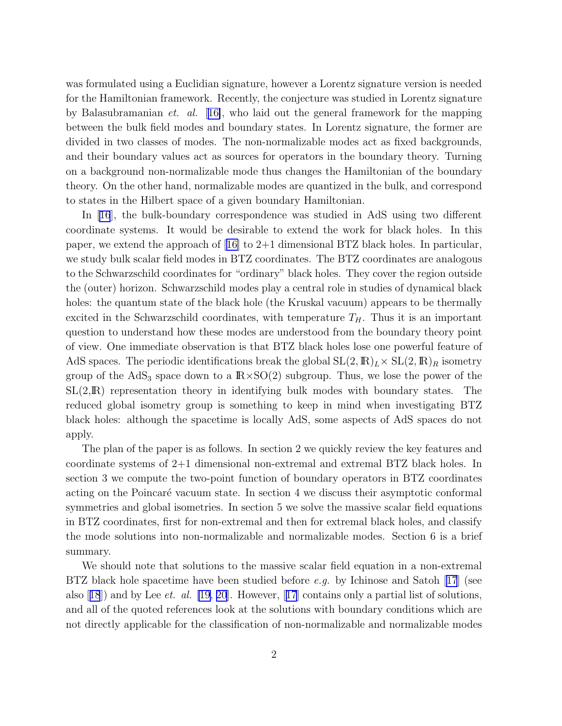was formulated using a Euclidian signature, however a Lorentz signature version is needed for the Hamiltonian framework. Recently, the conjecture was studied in Lorentz signature by Balasubramanian *et. al.* [[16\]](#page-21-0), who laid out the general framework for the mapping between the bulk field modes and boundary states. In Lorentz signature, the former are divided in two classes of modes. The non-normalizable modes act as fixed backgrounds, and their boundary values act as sources for operators in the boundary theory. Turning on a background non-normalizable mode thus changes the Hamiltonian of the boundary theory. On the other hand, normalizable modes are quantized in the bulk, and correspond to states in the Hilbert space of a given boundary Hamiltonian.

In[[16](#page-21-0)], the bulk-boundary correspondence was studied in AdS using two different coordinate systems. It would be desirable to extend the work for black holes. In this paper, we extend the approach of[[16\]](#page-21-0) to 2+1 dimensional BTZ black holes. In particular, we study bulk scalar field modes in BTZ coordinates. The BTZ coordinates are analogous to the Schwarzschild coordinates for "ordinary" black holes. They cover the region outside the (outer) horizon. Schwarzschild modes play a central role in studies of dynamical black holes: the quantum state of the black hole (the Kruskal vacuum) appears to be thermally excited in the Schwarzschild coordinates, with temperature  $T_H$ . Thus it is an important question to understand how these modes are understood from the boundary theory point of view. One immediate observation is that BTZ black holes lose one powerful feature of AdS spaces. The periodic identifications break the global  $SL(2,\mathbb{R})_L\times SL(2,\mathbb{R})_R$  isometry group of the  $AdS_3$  space down to a  $R \times SO(2)$  subgroup. Thus, we lose the power of the  $SL(2,\mathbb{R})$  representation theory in identifying bulk modes with boundary states. The reduced global isometry group is something to keep in mind when investigating BTZ black holes: although the spacetime is locally AdS, some aspects of AdS spaces do not apply.

The plan of the paper is as follows. In section 2 we quickly review the key features and coordinate systems of 2+1 dimensional non-extremal and extremal BTZ black holes. In section 3 we compute the two-point function of boundary operators in BTZ coordinates acting on the Poincaré vacuum state. In section 4 we discuss their asymptotic conformal symmetries and global isometries. In section 5 we solve the massive scalar field equations in BTZ coordinates, first for non-extremal and then for extremal black holes, and classify the mode solutions into non-normalizable and normalizable modes. Section 6 is a brief summary.

We should note that solutions to the massive scalar field equation in a non-extremal BTZ black hole spacetime have been studied before *e.g.* by Ichinose and Satoh[[17](#page-21-0)] (see also[[18](#page-21-0)]) and by Lee *et. al.* [\[19](#page-21-0), [20](#page-21-0)]. However,[[17](#page-21-0)] contains only a partial list of solutions, and all of the quoted references look at the solutions with boundary conditions which are not directly applicable for the classification of non-normalizable and normalizable modes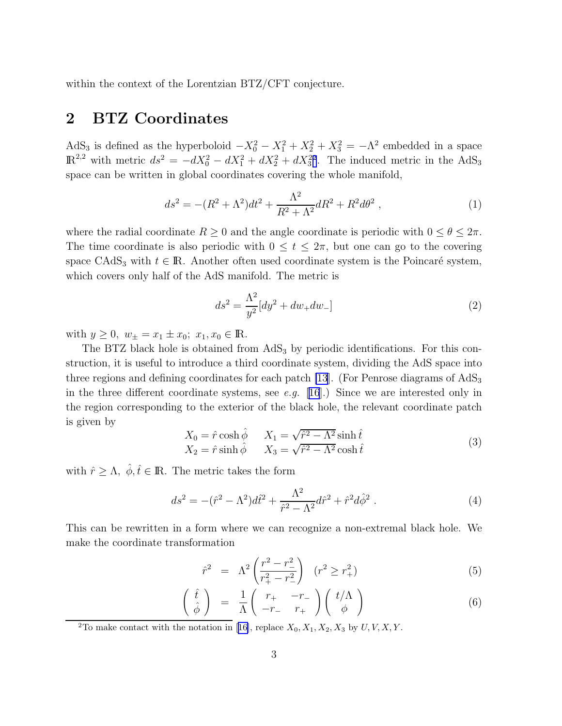<span id="page-3-0"></span>within the context of the Lorentzian BTZ/CFT conjecture.

# 2 BTZ Coordinates

AdS<sub>3</sub> is defined as the hyperboloid  $-X_0^2 - X_1^2 + X_2^2 + X_3^2 = -\Lambda^2$  embedded in a space  $\mathbb{R}^{2,2}$  with metric  $ds^2 = -dX_0^2 - dX_1^2 + dX_2^2 + dX_3^2^2$ . The induced metric in the AdS<sub>3</sub> space can be written in global coordinates covering the whole manifold,

$$
ds^{2} = -(R^{2} + \Lambda^{2})dt^{2} + \frac{\Lambda^{2}}{R^{2} + \Lambda^{2}}dR^{2} + R^{2}d\theta^{2} , \qquad (1)
$$

where the radial coordinate  $R \geq 0$  and the angle coordinate is periodic with  $0 \leq \theta \leq 2\pi$ . The time coordinate is also periodic with  $0 \le t \le 2\pi$ , but one can go to the covering space CAdS<sub>3</sub> with  $t \in \mathbb{R}$ . Another often used coordinate system is the Poincaré system, which covers only half of the AdS manifold. The metric is

$$
ds^{2} = \frac{\Lambda^{2}}{y^{2}}[dy^{2} + dw_{+}dw_{-}]
$$
\n(2)

with  $y \ge 0$ ,  $w_{\pm} = x_1 \pm x_0$ ;  $x_1, x_0 \in \mathbb{R}$ .

The BTZ black hole is obtained from  $AdS<sub>3</sub>$  by periodic identifications. For this construction, it is useful to introduce a third coordinate system, dividing the AdS space into three regions and defining coordinates for each patch [\[13](#page-21-0)]. (For Penrose diagrams of  $AdS_3$ ) in the three different coordinate systems, see *e.g.* [[16](#page-21-0)].) Since we are interested only in the region corresponding to the exterior of the black hole, the relevant coordinate patch is given by

$$
X_0 = \hat{r} \cosh \hat{\phi} \qquad X_1 = \sqrt{\hat{r}^2 - \Lambda^2} \sinh \hat{t}
$$
  
\n
$$
X_2 = \hat{r} \sinh \hat{\phi} \qquad X_3 = \sqrt{\hat{r}^2 - \Lambda^2} \cosh \hat{t}
$$
\n(3)

with  $\hat{r} \geq \Lambda$ ,  $\hat{\phi}, \hat{t} \in \mathbb{R}$ . The metric takes the form

$$
ds^{2} = -(\hat{r}^{2} - \Lambda^{2})d\hat{t}^{2} + \frac{\Lambda^{2}}{\hat{r}^{2} - \Lambda^{2}}d\hat{r}^{2} + \hat{r}^{2}d\hat{\phi}^{2}.
$$
 (4)

This can be rewritten in a form where we can recognize a non-extremal black hole. We make the coordinate transformation

$$
\hat{r}^2 = \Lambda^2 \left( \frac{r^2 - r_-^2}{r_+^2 - r_-^2} \right) \quad (r^2 \ge r_+^2) \tag{5}
$$

$$
\left(\begin{array}{c}\hat{t}\\\hat{\phi}\end{array}\right) = \frac{1}{\Lambda} \left(\begin{array}{cc}r_{+} & -r_{-}\\-r_{-} & r_{+}\end{array}\right) \left(\begin{array}{c}t/\Lambda\\ \phi\end{array}\right) \tag{6}
$$

<sup>2</sup>Tomake contact with the notation in [[16\]](#page-21-0), replace  $X_0, X_1, X_2, X_3$  by  $U, V, X, Y$ .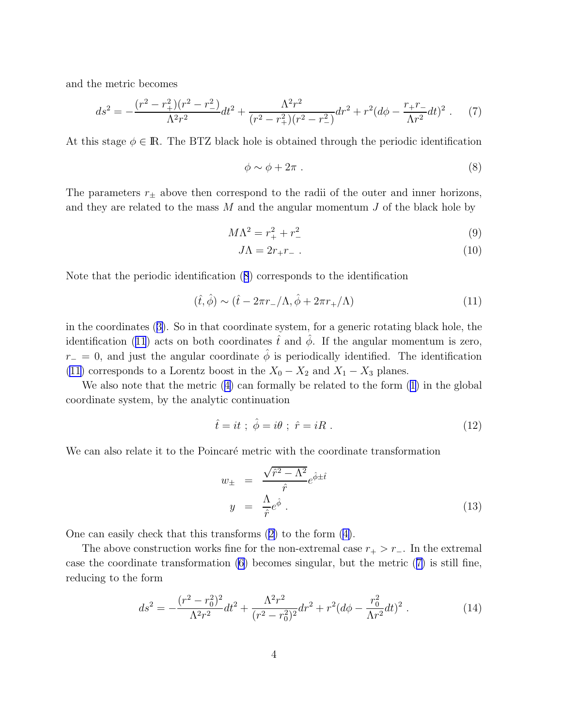<span id="page-4-0"></span>and the metric becomes

$$
ds^{2} = -\frac{(r^{2} - r_{+}^{2})(r^{2} - r_{-}^{2})}{\Lambda^{2}r^{2}}dt^{2} + \frac{\Lambda^{2}r^{2}}{(r^{2} - r_{+}^{2})(r^{2} - r_{-}^{2})}dr^{2} + r^{2}(d\phi - \frac{r_{+}r_{-}}{\Lambda r^{2}}dt)^{2}.
$$
 (7)

At this stage  $\phi \in \mathbb{R}$ . The BTZ black hole is obtained through the periodic identification

$$
\phi \sim \phi + 2\pi \ . \tag{8}
$$

The parameters  $r_{\pm}$  above then correspond to the radii of the outer and inner horizons, and they are related to the mass  $M$  and the angular momentum  $J$  of the black hole by

$$
M\Lambda^2 = r_+^2 + r_-^2 \tag{9}
$$

$$
J\Lambda = 2r_+r_- \tag{10}
$$

Note that the periodic identification (8) corresponds to the identification

$$
(\hat{t}, \hat{\phi}) \sim (\hat{t} - 2\pi r_{-}/\Lambda, \hat{\phi} + 2\pi r_{+}/\Lambda)
$$
\n(11)

in the coordinates([3\)](#page-3-0). So in that coordinate system, for a generic rotating black hole, the identification (11) acts on both coordinates  $\hat{t}$  and  $\hat{\phi}$ . If the angular momentum is zero,  $r_$  = 0, and just the angular coordinate  $\hat{\phi}$  is periodically identified. The identification (11) corresponds to a Lorentz boost in the  $X_0 - X_2$  and  $X_1 - X_3$  planes.

We also note that the metric([4\)](#page-3-0) can formally be related to the form [\(1](#page-3-0)) in the global coordinate system, by the analytic continuation

$$
\hat{t} = it \; ; \; \hat{\phi} = i\theta \; ; \; \hat{r} = iR \; . \tag{12}
$$

We can also relate it to the Poincaré metric with the coordinate transformation

$$
w_{\pm} = \frac{\sqrt{\hat{r}^2 - \Lambda^2}}{\hat{r}} e^{\hat{\phi} \pm \hat{t}}
$$
  

$$
y = \frac{\Lambda}{\hat{r}} e^{\hat{\phi}}.
$$
 (13)

One can easily check that this transforms([2\)](#page-3-0) to the form([4\)](#page-3-0).

The above construction works fine for the non-extremal case  $r_{+} > r_{-}$ . In the extremal case the coordinate transformation [\(6](#page-3-0)) becomes singular, but the metric (7) is still fine, reducing to the form

$$
ds^{2} = -\frac{(r^{2} - r_{0}^{2})^{2}}{\Lambda^{2}r^{2}}dt^{2} + \frac{\Lambda^{2}r^{2}}{(r^{2} - r_{0}^{2})^{2}}dr^{2} + r^{2}(d\phi - \frac{r_{0}^{2}}{\Lambda r^{2}}dt)^{2}.
$$
 (14)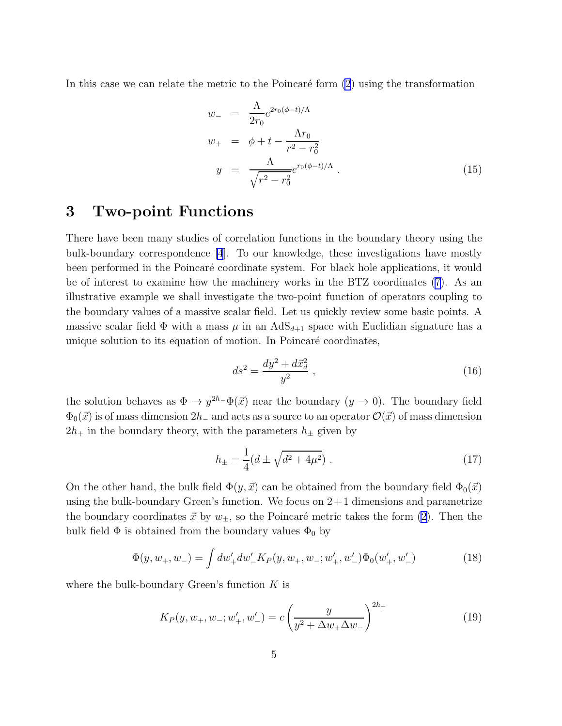<span id="page-5-0"></span>In this case we can relate the metric to the Poincaré form  $(2)$  using the transformation

$$
w_{-} = \frac{\Lambda}{2r_{0}} e^{2r_{0}(\phi - t)/\Lambda}
$$
  
\n
$$
w_{+} = \phi + t - \frac{\Lambda r_{0}}{r^{2} - r_{0}^{2}}
$$
  
\n
$$
y = \frac{\Lambda}{\sqrt{r^{2} - r_{0}^{2}}} e^{r_{0}(\phi - t)/\Lambda}.
$$
\n(15)

### 3 Two-point Functions

There have been many studies of correlation functions in the boundary theory using the bulk-boundary correspondence [\[4](#page-20-0)]. To our knowledge, these investigations have mostly been performed in the Poincaré coordinate system. For black hole applications, it would be of interest to examine how the machinery works in the BTZ coordinates [\(7](#page-4-0)). As an illustrative example we shall investigate the two-point function of operators coupling to the boundary values of a massive scalar field. Let us quickly review some basic points. A massive scalar field  $\Phi$  with a mass  $\mu$  in an  $AdS_{d+1}$  space with Euclidian signature has a unique solution to its equation of motion. In Poincaré coordinates,

$$
ds^2 = \frac{dy^2 + d\vec{x}_d^2}{y^2} \,,\tag{16}
$$

the solution behaves as  $\Phi \to y^{2h^-} \Phi(\vec{x})$  near the boundary  $(y \to 0)$ . The boundary field  $\Phi_0(\vec{x})$  is of mass dimension  $2h_-\$  and acts as a source to an operator  $\mathcal{O}(\vec{x})$  of mass dimension  $2h_+$  in the boundary theory, with the parameters  $h_{\pm}$  given by

$$
h_{\pm} = \frac{1}{4} (d \pm \sqrt{d^2 + 4\mu^2}) \tag{17}
$$

On the other hand, the bulk field  $\Phi(y, \vec{x})$  can be obtained from the boundary field  $\Phi_0(\vec{x})$ using the bulk-boundary Green's function. We focus on  $2+1$  dimensions and parametrize the boundary coordinates  $\vec{x}$  by  $w_{\pm}$ , so the Poincaré metric takes the form [\(2](#page-3-0)). Then the bulk field  $\Phi$  is obtained from the boundary values  $\Phi_0$  by

$$
\Phi(y, w_+, w_-) = \int dw'_+ dw'_- K_P(y, w_+, w_-; w'_+, w'_-) \Phi_0(w'_+, w'_-)
$$
\n(18)

where the bulk-boundary Green's function  $K$  is

$$
K_P(y, w_+, w_-; w'_+, w'_-) = c \left(\frac{y}{y^2 + \Delta w_+ \Delta w_-}\right)^{2h_+}
$$
\n(19)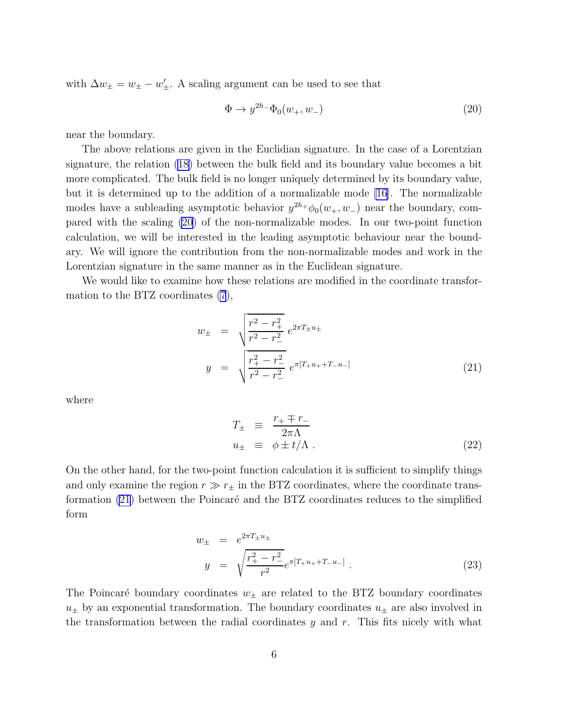<span id="page-6-0"></span>with  $\Delta w_{\pm} = w_{\pm} - w'_{\pm}$ . A scaling argument can be used to see that

$$
\Phi \to y^{2h^-} \Phi_0(w_+, w_-) \tag{20}
$$

near the boundary.

The above relations are given in the Euclidian signature. In the case of a Lorentzian signature, the relation([18\)](#page-5-0) between the bulk field and its boundary value becomes a bit more complicated. The bulk field is no longer uniquely determined by its boundary value, but it is determined up to the addition of a normalizable mode [\[16\]](#page-21-0). The normalizable modes have a subleading asymptotic behavior  $y^{2h}$ + $\phi_0(w_+, w_-)$  near the boundary, compared with the scaling (20) of the non-normalizable modes. In our two-point function calculation, we will be interested in the leading asymptotic behaviour near the boundary. We will ignore the contribution from the non-normalizable modes and work in the Lorentzian signature in the same manner as in the Euclidean signature.

We would like to examine how these relations are modified in the coordinate transformation to the BTZ coordinates [\(7](#page-4-0)),

$$
w_{\pm} = \sqrt{\frac{r^2 - r_+^2}{r^2 - r_-^2}} e^{2\pi T_{\pm} u_{\pm}}
$$
  

$$
y = \sqrt{\frac{r_+^2 - r_-^2}{r^2 - r_-^2}} e^{\pi [T_+ u_+ + T_- u_-]}
$$
(21)

where

$$
T_{\pm} \equiv \frac{r_{+} \mp r_{-}}{2\pi\Lambda}
$$
  

$$
u_{\pm} \equiv \phi \pm t/\Lambda.
$$
 (22)

On the other hand, for the two-point function calculation it is sufficient to simplify things and only examine the region  $r \gg r_{\pm}$  in the BTZ coordinates, where the coordinate transformation  $(21)$  between the Poincaré and the BTZ coordinates reduces to the simplified form

$$
w_{\pm} = e^{2\pi T_{\pm}u_{\pm}}
$$
  

$$
y = \sqrt{\frac{r_{+}^{2} - r_{-}^{2}}{r^{2}}}e^{\pi[T_{+}u_{+} + T_{-}u_{-}]}.
$$
 (23)

The Poincaré boundary coordinates  $w_{\pm}$  are related to the BTZ boundary coordinates  $u_{\pm}$  by an exponential transformation. The boundary coordinates  $u_{\pm}$  are also involved in the transformation between the radial coordinates  $y$  and  $r$ . This fits nicely with what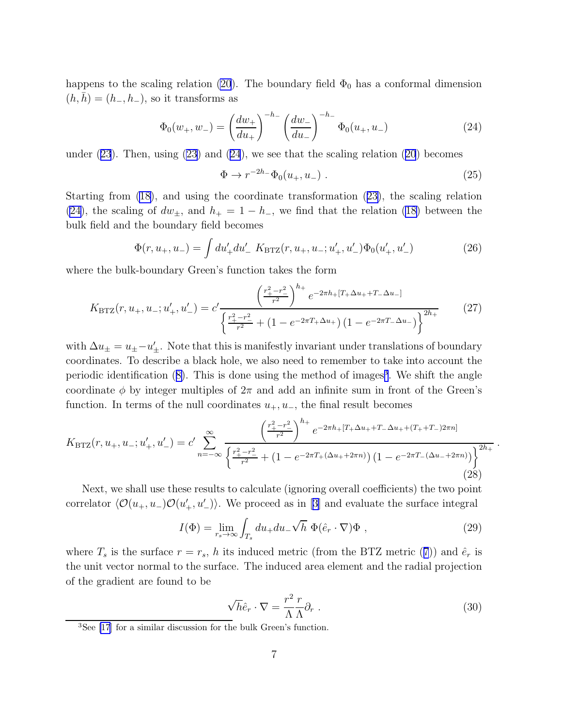<span id="page-7-0"></span>happens to the scaling relation [\(20](#page-6-0)). The boundary field  $\Phi_0$  has a conformal dimension  $(h, h) = (h_-, h_-)$ , so it transforms as

$$
\Phi_0(w_+, w_-) = \left(\frac{dw_+}{du_+}\right)^{-h_-} \left(\frac{dw_-}{du_-}\right)^{-h_-} \Phi_0(u_+, u_-) \tag{24}
$$

under $(23)$  $(23)$  $(23)$ . Then, using  $(23)$  and  $(24)$ , we see that the scaling relation  $(20)$  $(20)$  $(20)$  becomes

$$
\Phi \to r^{-2h_-} \Phi_0(u_+, u_-) \tag{25}
$$

Starting from [\(18](#page-5-0)), and using the coordinate transformation([23\)](#page-6-0), the scaling relation (24), the scaling of  $dw_{\pm}$ , and  $h_{+} = 1 - h_{-}$ , we find that the relation [\(18\)](#page-5-0) between the bulk field and the boundary field becomes

$$
\Phi(r, u_+, u_-) = \int du'_+ du'_- \ K_{\text{BTZ}}(r, u_+, u_-; u'_+, u'_-) \Phi_0(u'_+, u'_-)
$$
\n(26)

where the bulk-boundary Green's function takes the form

$$
K_{\text{BTZ}}(r, u_+, u_-; u'_+, u'_-) = c' \frac{\left(\frac{r_+^2 - r_-^2}{r^2}\right)^{h_+} e^{-2\pi h_+ [T_+ \Delta u_+ + T_- \Delta u_-]}}{\left(\frac{r_+^2 - r_-^2}{r^2} + (1 - e^{-2\pi T_+ \Delta u_+}) (1 - e^{-2\pi T_- \Delta u_-})\right)^{2h_+}}
$$
(27)

with  $\Delta u_{\pm} = u_{\pm} - u'_{\pm}$ . Note that this is manifestly invariant under translations of boundary coordinates. To describe a black hole, we also need to remember to take into account the periodicidentification ([8\)](#page-4-0). This is done using the method of images<sup>3</sup>. We shift the angle coordinate  $\phi$  by integer multiples of  $2\pi$  and add an infinite sum in front of the Green's function. In terms of the null coordinates  $u_+, u_-,$  the final result becomes

$$
K_{\text{BTZ}}(r, u_+, u_-; u_+', u_-') = c' \sum_{n=-\infty}^{\infty} \frac{\left(\frac{r_+^2 - r_-^2}{r^2}\right)^{h_+} e^{-2\pi h_+ [T_+ \Delta u_+ + T_- \Delta u_+ + (T_+ + T_-) 2\pi n]}}{\left(\frac{r_+^2 - r_-^2}{r^2} + (1 - e^{-2\pi T_+ (\Delta u_+ + 2\pi n)}) (1 - e^{-2\pi T_- (\Delta u_- + 2\pi n)})\right)^{2h_+}}
$$
\n(28)

Next, we shall use these results to calculate (ignoring overall coefficients) the two point correlator $\langle \mathcal{O}(u_+, u_-) \mathcal{O}(u'_+, u'_-) \rangle$ . We proceed as in [[3\]](#page-19-0) and evaluate the surface integral

$$
I(\Phi) = \lim_{r_s \to \infty} \int_{T_s} du_+ du_- \sqrt{h} \ \Phi(\hat{e}_r \cdot \nabla)\Phi , \qquad (29)
$$

where $T_s$  is the surface  $r = r_s$ , h its induced metric (from the BTZ metric ([7](#page-4-0))) and  $\hat{e}_r$  is the unit vector normal to the surface. The induced area element and the radial projection of the gradient are found to be

$$
\sqrt{h}\hat{e}_r \cdot \nabla = \frac{r^2}{\Lambda} \frac{r}{\Lambda} \partial_r \ . \tag{30}
$$

.

<sup>3</sup>See [\[17](#page-21-0)] for a similar discussion for the bulk Green's function.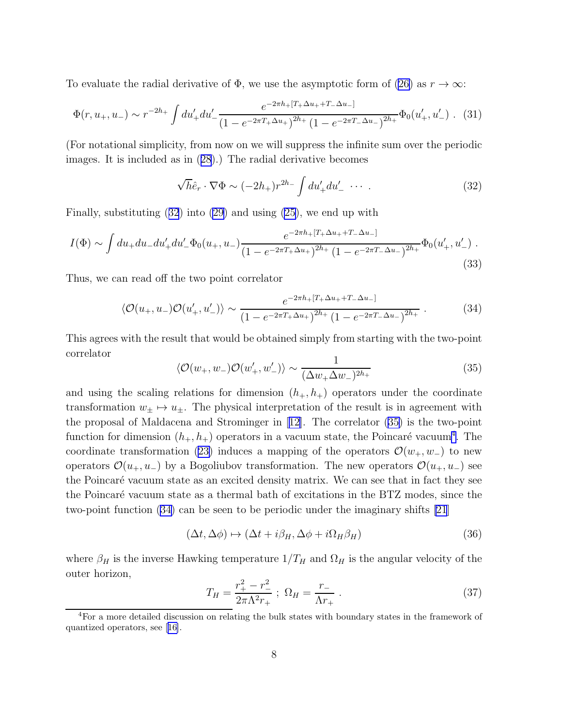<span id="page-8-0"></span>To evaluate the radial derivative of  $\Phi$ , we use the asymptotic form of [\(26\)](#page-7-0) as  $r \to \infty$ :

$$
\Phi(r, u_+, u_-) \sim r^{-2h_+} \int du'_+ du'_- \frac{e^{-2\pi h_+ [T_+ \Delta u_+ + T_- \Delta u_-]}}{(1 - e^{-2\pi T_+ \Delta u_+})^{2h_+} (1 - e^{-2\pi T_- \Delta u_-})^{2h_+}} \Phi_0(u'_+, u'_-) \quad (31)
$$

(For notational simplicity, from now on we will suppress the infinite sum over the periodic images. It is included as in([28](#page-7-0)).) The radial derivative becomes

$$
\sqrt{h}\hat{e}_r \cdot \nabla \Phi \sim (-2h_+) r^{2h_-} \int du'_+ du'_- \cdots . \tag{32}
$$

Finally, substituting (32) into [\(29\)](#page-7-0) and using [\(25\)](#page-7-0), we end up with

$$
I(\Phi) \sim \int du_+ du_- du'_+ du'_- \Phi_0(u_+, u_-) \frac{e^{-2\pi h_+ [T_+ \Delta u_+ + T_- \Delta u_-]}}{(1 - e^{-2\pi T_+ \Delta u_+})^{2h_+} (1 - e^{-2\pi T_- \Delta u_-})^{2h_+}} \Phi_0(u'_+, u'_-)
$$
\n(33)

Thus, we can read off the two point correlator

$$
\langle \mathcal{O}(u_+, u_-) \mathcal{O}(u'_+, u'_-) \rangle \sim \frac{e^{-2\pi h_+ [T_+ \Delta u_+ + T_- \Delta u_-]}}{(1 - e^{-2\pi T_+ \Delta u_+})^{2h_+} (1 - e^{-2\pi T_- \Delta u_-})^{2h_+}} \,. \tag{34}
$$

This agrees with the result that would be obtained simply from starting with the two-point correlator

$$
\langle \mathcal{O}(w_+, w_-) \mathcal{O}(w'_+, w'_-) \rangle \sim \frac{1}{(\Delta w_+ \Delta w_-)^{2h_+}} \tag{35}
$$

and using the scaling relations for dimension  $(h_+, h_+)$  operators under the coordinate transformation  $w_{\pm} \mapsto u_{\pm}$ . The physical interpretation of the result is in agreement with the proposal of Maldacena and Strominger in[[12\]](#page-20-0). The correlator (35) is the two-point function for dimension  $(h_+, h_+)$  operators in a vacuum state, the Poincaré vacuum<sup>4</sup>. The coordinatetransformation ([23\)](#page-6-0) induces a mapping of the operators  $\mathcal{O}(w_+, w_-)$  to new operators  $\mathcal{O}(u_+, u_-)$  by a Bogoliubov transformation. The new operators  $\mathcal{O}(u_+, u_-)$  see the Poincaré vacuum state as an excited density matrix. We can see that in fact they see the Poincaré vacuum state as a thermal bath of excitations in the BTZ modes, since the two-point function (34) can be seen to be periodic under the imaginary shifts [\[21](#page-21-0)]

$$
(\Delta t, \Delta \phi) \mapsto (\Delta t + i\beta_H, \Delta \phi + i\Omega_H \beta_H)
$$
\n(36)

where  $\beta_H$  is the inverse Hawking temperature  $1/T_H$  and  $\Omega_H$  is the angular velocity of the outer horizon,

$$
T_H = \frac{r_+^2 - r_-^2}{2\pi\Lambda^2 r_+} \; ; \; \Omega_H = \frac{r_-}{\Lambda r_+} \; . \tag{37}
$$

 ${}^{4}$  For a more detailed discussion on relating the bulk states with boundary states in the framework of quantized operators, see[[16\]](#page-21-0).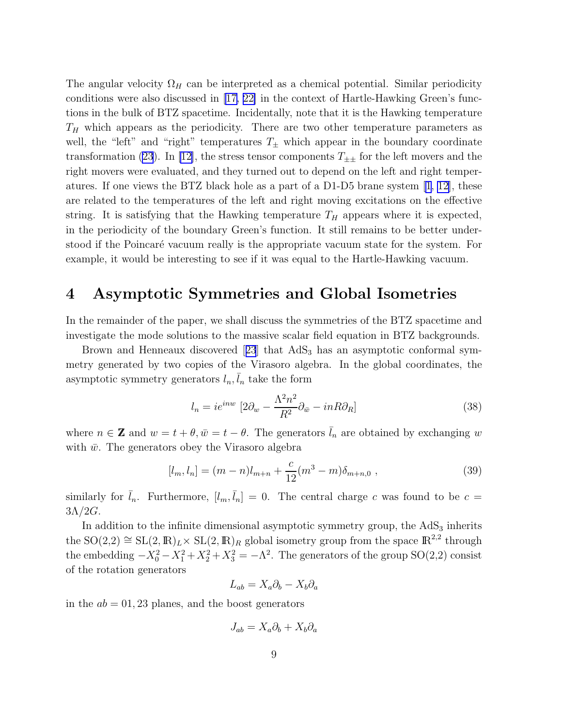<span id="page-9-0"></span>The angular velocity  $\Omega_H$  can be interpreted as a chemical potential. Similar periodicity conditions were also discussed in  $\ket{17, 22}$  in the context of Hartle-Hawking Green's functions in the bulk of BTZ spacetime. Incidentally, note that it is the Hawking temperature  $T_H$  which appears as the periodicity. There are two other temperature parameters as well, the "left" and "right" temperatures  $T_{\pm}$  which appear in the boundary coordinate transformation [\(23](#page-6-0)). In [\[12\]](#page-20-0), the stress tensor components  $T_{\pm\pm}$  for the left movers and the right movers were evaluated, and they turned out to depend on the left and right temperatures. If one views the BTZ black hole as a part of a D1-D5 brane system [\[1](#page-19-0), [12\]](#page-20-0), these are related to the temperatures of the left and right moving excitations on the effective string. It is satisfying that the Hawking temperature  $T_H$  appears where it is expected, in the periodicity of the boundary Green's function. It still remains to be better understood if the Poincaré vacuum really is the appropriate vacuum state for the system. For example, it would be interesting to see if it was equal to the Hartle-Hawking vacuum.

## 4 Asymptotic Symmetries and Global Isometries

In the remainder of the paper, we shall discuss the symmetries of the BTZ spacetime and investigate the mode solutions to the massive scalar field equation in BTZ backgrounds.

Brownand Henneaux discovered [[23](#page-22-0)] that  $AdS_3$  has an asymptotic conformal symmetry generated by two copies of the Virasoro algebra. In the global coordinates, the asymptotic symmetry generators  $l_n, \bar{l}_n$  take the form

$$
l_n = ie^{inw} \left[2\partial_w - \frac{\Lambda^2 n^2}{R^2} \partial_{\bar{w}} - inR\partial_R\right]
$$
 (38)

where  $n \in \mathbb{Z}$  and  $w = t + \theta, \bar{w} = t - \theta$ . The generators  $\bar{l}_n$  are obtained by exchanging w with  $\bar{w}$ . The generators obey the Virasoro algebra

$$
[l_m, l_n] = (m - n)l_{m+n} + \frac{c}{12}(m^3 - m)\delta_{m+n,0} ,
$$
\n(39)

similarly for  $\bar{l}_n$ . Furthermore,  $[l_m, \bar{l}_n] = 0$ . The central charge c was found to be  $c =$  $3\Lambda/2G$ .

In addition to the infinite dimensional asymptotic symmetry group, the  $AdS<sub>3</sub>$  inherits the SO(2,2)  $\cong$  SL(2, R)<sub>L</sub>  $\times$  SL(2, R)<sub>R</sub> global isometry group from the space R<sup>2,2</sup> through the embedding  $-X_0^2 - X_1^2 + X_2^2 + X_3^2 = -\Lambda^2$ . The generators of the group SO(2,2) consist of the rotation generators

$$
L_{ab} = X_a \partial_b - X_b \partial_a
$$

in the  $ab = 01, 23$  planes, and the boost generators

$$
J_{ab} = X_a \partial_b + X_b \partial_a
$$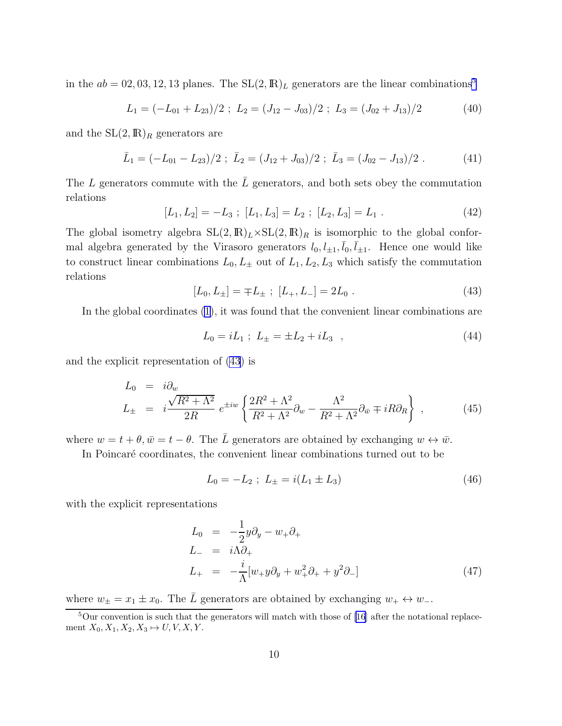<span id="page-10-0"></span>in the  $ab = 02, 03, 12, 13$  planes. The  $SL(2, \mathbb{R})$ <sub>L</sub> generators are the linear combinations<sup>5</sup>

$$
L_1 = (-L_{01} + L_{23})/2 \; ; \; L_2 = (J_{12} - J_{03})/2 \; ; \; L_3 = (J_{02} + J_{13})/2 \tag{40}
$$

and the  $SL(2,\mathbb{R})_R$  generators are

$$
\bar{L}_1 = (-L_{01} - L_{23})/2 \; ; \; \bar{L}_2 = (J_{12} + J_{03})/2 \; ; \; \bar{L}_3 = (J_{02} - J_{13})/2 \; . \tag{41}
$$

The L generators commute with the  $\overline{L}$  generators, and both sets obey the commutation relations

$$
[L_1, L_2] = -L_3 \; ; \; [L_1, L_3] = L_2 \; ; \; [L_2, L_3] = L_1 \; . \tag{42}
$$

The global isometry algebra  $SL(2,\mathbb{R})_L\times SL(2,\mathbb{R})_R$  is isomorphic to the global conformal algebra generated by the Virasoro generators  $l_0, l_{\pm 1}, \bar{l}_0, \bar{l}_{\pm 1}$ . Hence one would like to construct linear combinations  $L_0, L_{\pm}$  out of  $L_1, L_2, L_3$  which satisfy the commutation relations

$$
[L_0, L_{\pm}] = \mp L_{\pm} \; ; \; [L_+, L_-] = 2L_0 \; . \tag{43}
$$

In the global coordinates [\(1\)](#page-3-0), it was found that the convenient linear combinations are

$$
L_0 = iL_1 ; L_{\pm} = \pm L_2 + iL_3 , \qquad (44)
$$

and the explicit representation of (43) is

$$
L_0 = i\partial_w
$$
  
\n
$$
L_{\pm} = i\frac{\sqrt{R^2 + \Lambda^2}}{2R} e^{\pm iw} \left\{ \frac{2R^2 + \Lambda^2}{R^2 + \Lambda^2} \partial_w - \frac{\Lambda^2}{R^2 + \Lambda^2} \partial_{\bar{w}} \mp iR \partial_R \right\} ,
$$
\n(45)

where  $w = t + \theta$ ,  $\bar{w} = t - \theta$ . The  $\bar{L}$  generators are obtained by exchanging  $w \leftrightarrow \bar{w}$ .

In Poincaré coordinates, the convenient linear combinations turned out to be

$$
L_0 = -L_2 \; ; \; L_{\pm} = i(L_1 \pm L_3) \tag{46}
$$

with the explicit representations

$$
L_0 = -\frac{1}{2}y\partial_y - w_+\partial_+
$$
  
\n
$$
L_- = i\Lambda\partial_+
$$
  
\n
$$
L_+ = -\frac{i}{\Lambda}[w_+y\partial_y + w_+^2\partial_+ + y^2\partial_-]
$$
\n(47)

where  $w_{\pm} = x_1 \pm x_0$ . The  $\overline{L}$  generators are obtained by exchanging  $w_+ \leftrightarrow w_-$ .

 $5$ Our convention is such that the generators will match with those of [\[16](#page-21-0)] after the notational replacement  $X_0, X_1, X_2, X_3 \mapsto U, V, X, Y$ .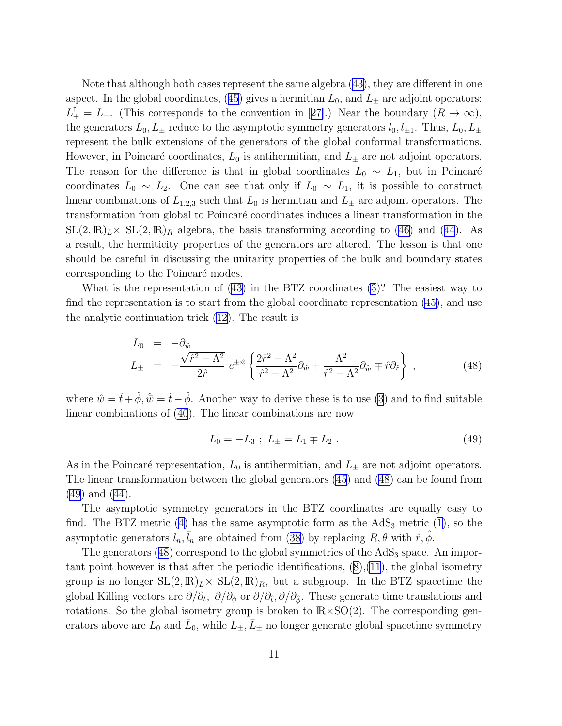Note that although both cases represent the same algebra [\(43\)](#page-10-0), they are different in one aspect.In the global coordinates, ([45](#page-10-0)) gives a hermitian  $L_0$ , and  $L_{\pm}$  are adjoint operators:  $L_+^{\dagger} = L_ L_+^{\dagger} = L_ L_+^{\dagger} = L_-$ . (This corresponds to the convention in [[27\]](#page-22-0).) Near the boundary  $(R \to \infty)$ , the generators  $L_0, L_{\pm}$  reduce to the asymptotic symmetry generators  $l_0, l_{\pm 1}$ . Thus,  $L_0, L_{\pm}$ represent the bulk extensions of the generators of the global conformal transformations. However, in Poincaré coordinates,  $L_0$  is antihermitian, and  $L_{\pm}$  are not adjoint operators. The reason for the difference is that in global coordinates  $L_0 \sim L_1$ , but in Poincaré coordinates  $L_0 \sim L_2$ . One can see that only if  $L_0 \sim L_1$ , it is possible to construct linear combinations of  $L_{1,2,3}$  such that  $L_0$  is hermitian and  $L_{\pm}$  are adjoint operators. The transformation from global to Poincar´e coordinates induces a linear transformation in the  $SL(2,\mathbb{R})_L\times SL(2,\mathbb{R})_R$  algebra, the basis transforming according to [\(46](#page-10-0)) and [\(44\)](#page-10-0). As a result, the hermiticity properties of the generators are altered. The lesson is that one should be careful in discussing the unitarity properties of the bulk and boundary states corresponding to the Poincaré modes.

What is the representation of [\(43\)](#page-10-0) in the BTZ coordinates [\(3](#page-3-0))? The easiest way to find the representation is to start from the global coordinate representation [\(45](#page-10-0)), and use the analytic continuation trick [\(12\)](#page-4-0). The result is

$$
L_0 = -\partial_{\hat{w}}
$$
  
\n
$$
L_{\pm} = -\frac{\sqrt{\hat{r}^2 - \Lambda^2}}{2\hat{r}} e^{\pm \hat{w}} \left\{ \frac{2\hat{r}^2 - \Lambda^2}{\hat{r}^2 - \Lambda^2} \partial_{\hat{w}} + \frac{\Lambda^2}{\hat{r}^2 - \Lambda^2} \partial_{\hat{\bar{w}}} \mp \hat{r} \partial_{\hat{r}} \right\},
$$
\n(48)

where  $\hat{w} = \hat{t} + \hat{\phi}, \hat{w} = \hat{t} - \hat{\phi}$ . Another way to derive these is to use [\(3](#page-3-0)) and to find suitable linear combinations of [\(40](#page-10-0)). The linear combinations are now

$$
L_0 = -L_3 \; ; \; L_{\pm} = L_1 \mp L_2 \; . \tag{49}
$$

As in the Poincaré representation,  $L_0$  is antihermitian, and  $L_{\pm}$  are not adjoint operators. The linear transformation between the global generators [\(45](#page-10-0)) and (48) can be found from (49) and([44\)](#page-10-0).

The asymptotic symmetry generators in the BTZ coordinates are equally easy to find.The BTZ metric ([4\)](#page-3-0) has the same asymptotic form as the  $AdS<sub>3</sub>$  metric [\(1](#page-3-0)), so the asymptoticgenerators  $l_n, \bar{l}_n$  are obtained from ([38\)](#page-9-0) by replacing  $R, \theta$  with  $\hat{r}, \hat{\phi}$ .

The generators  $(48)$  correspond to the global symmetries of the  $AdS<sub>3</sub>$  space. An important point however is that after the periodic identifications, [\(8\)](#page-4-0),[\(11](#page-4-0)), the global isometry group is no longer  $SL(2,\mathbb{R})_L\times SL(2,\mathbb{R})_R$ , but a subgroup. In the BTZ spacetime the global Killing vectors are  $\partial/\partial_t$ ,  $\partial/\partial_\phi$  or  $\partial/\partial_{\hat{t}}$ ,  $\partial/\partial_{\hat{\phi}}$ . These generate time translations and rotations. So the global isometry group is broken to  $\mathbb{R}\times$ SO(2). The corresponding generators above are  $L_0$  and  $\bar{L}_0$ , while  $L_{\pm}$ ,  $\bar{L}_{\pm}$  no longer generate global spacetime symmetry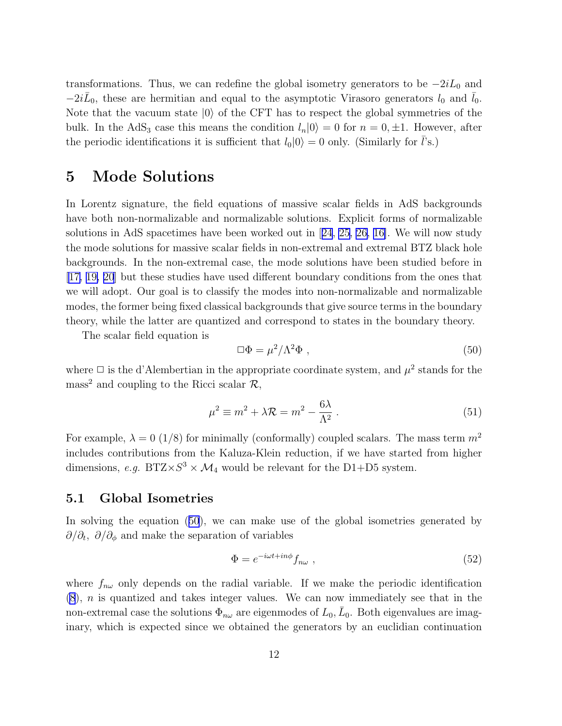<span id="page-12-0"></span>transformations. Thus, we can redefine the global isometry generators to be  $-2iL_0$  and  $-2i\bar{L}_0$ , these are hermitian and equal to the asymptotic Virasoro generators  $l_0$  and  $\bar{l}_0$ . Note that the vacuum state  $|0\rangle$  of the CFT has to respect the global symmetries of the bulk. In the AdS<sub>3</sub> case this means the condition  $l_n|0\rangle = 0$  for  $n = 0, \pm 1$ . However, after the periodic identifications it is sufficient that  $l_0|0\rangle = 0$  only. (Similarly for *l*'s.)

## 5 Mode Solutions

In Lorentz signature, the field equations of massive scalar fields in AdS backgrounds have both non-normalizable and normalizable solutions. Explicit forms of normalizable solutions in AdS spacetimes have been worked out in[[24](#page-22-0), [25](#page-22-0), [26,](#page-22-0) [16\]](#page-21-0). We will now study the mode solutions for massive scalar fields in non-extremal and extremal BTZ black hole backgrounds. In the non-extremal case, the mode solutions have been studied before in [\[17, 19, 20](#page-21-0)] but these studies have used different boundary conditions from the ones that we will adopt. Our goal is to classify the modes into non-normalizable and normalizable modes, the former being fixed classical backgrounds that give source terms in the boundary theory, while the latter are quantized and correspond to states in the boundary theory.

The scalar field equation is

$$
\Box \Phi = \mu^2 / \Lambda^2 \Phi \tag{50}
$$

where  $\Box$  is the d'Alembertian in the appropriate coordinate system, and  $\mu^2$  stands for the mass<sup>2</sup> and coupling to the Ricci scalar  $\mathcal{R}$ ,

$$
\mu^2 \equiv m^2 + \lambda \mathcal{R} = m^2 - \frac{6\lambda}{\Lambda^2} \,. \tag{51}
$$

For example,  $\lambda = 0$  (1/8) for minimally (conformally) coupled scalars. The mass term  $m^2$ includes contributions from the Kaluza-Klein reduction, if we have started from higher dimensions, *e.g.*  $BTZ \times S^3 \times M_4$  would be relevant for the D1+D5 system.

#### 5.1 Global Isometries

In solving the equation (50), we can make use of the global isometries generated by  $\partial/\partial_t$ ,  $\partial/\partial_\phi$  and make the separation of variables

$$
\Phi = e^{-i\omega t + i n\phi} f_{n\omega} \t{52}
$$

where  $f_{n\omega}$  only depends on the radial variable. If we make the periodic identification [\(8](#page-4-0)), n is quantized and takes integer values. We can now immediately see that in the non-extremal case the solutions  $\Phi_{n\omega}$  are eigenmodes of  $L_0$ ,  $\bar{L}_0$ . Both eigenvalues are imaginary, which is expected since we obtained the generators by an euclidian continuation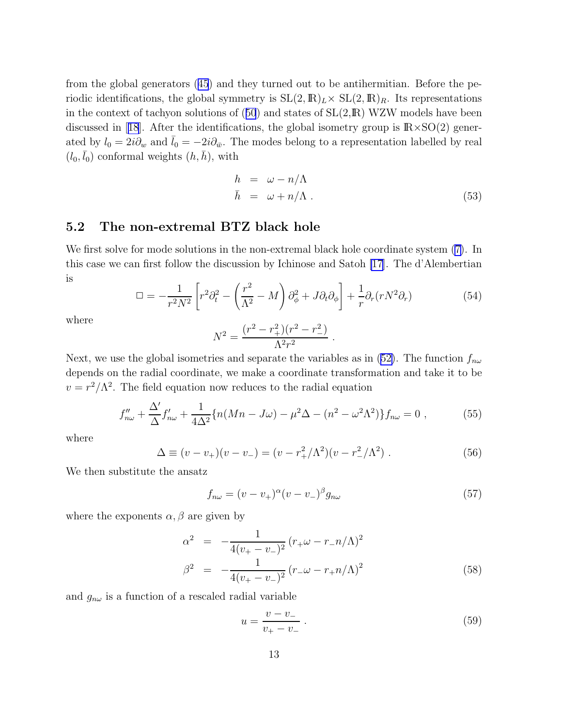<span id="page-13-0"></span>from the global generators([45](#page-10-0)) and they turned out to be antihermitian. Before the periodic identifications, the global symmetry is  $SL(2,\mathbb{R})_L\times SL(2,\mathbb{R})_R$ . Its representations inthe context of tachyon solutions of  $(50)$  $(50)$  $(50)$  and states of  $SL(2,\mathbb{R})$  WZW models have been discussedin [[18](#page-21-0)]. After the identifications, the global isometry group is  $\mathbb{R} \times \mathbb{S}(\mathbb{Q})$  generated by  $l_0 = 2i\partial_w$  and  $\bar{l}_0 = -2i\partial_{\bar{w}}$ . The modes belong to a representation labelled by real  $(l_0, \bar{l}_0)$  conformal weights  $(h, \bar{h})$ , with

$$
h = \omega - n/\Lambda
$$
  
\n
$$
\bar{h} = \omega + n/\Lambda.
$$
\n(53)

### 5.2 The non-extremal BTZ black hole

We first solve for mode solutions in the non-extremal black hole coordinate system([7\)](#page-4-0). In this case we can first follow the discussion by Ichinose and Satoh [\[17](#page-21-0)]. The d'Alembertian is

$$
\Box = -\frac{1}{r^2 N^2} \left[ r^2 \partial_t^2 - \left( \frac{r^2}{\Lambda^2} - M \right) \partial_\phi^2 + J \partial_t \partial_\phi \right] + \frac{1}{r} \partial_r (r N^2 \partial_r) \tag{54}
$$

.

where

$$
N^2 = \frac{(r^2 - r_+^2)(r^2 - r_-^2)}{\Lambda^2 r^2}
$$

Next,we use the global isometries and separate the variables as in ([52\)](#page-12-0). The function  $f_{n\omega}$ depends on the radial coordinate, we make a coordinate transformation and take it to be  $v = r^2/\Lambda^2$ . The field equation now reduces to the radial equation

$$
f''_{n\omega} + \frac{\Delta'}{\Delta} f'_{n\omega} + \frac{1}{4\Delta^2} \{ n(Mn - J\omega) - \mu^2 \Delta - (n^2 - \omega^2 \Lambda^2) \} f_{n\omega} = 0 ,
$$
 (55)

where

$$
\Delta \equiv (v - v_{+})(v - v_{-}) = (v - r_{+}^{2}/\Lambda^{2})(v - r_{-}^{2}/\Lambda^{2}) . \qquad (56)
$$

We then substitute the ansatz

$$
f_{n\omega} = (v - v_+)^{\alpha} (v - v_-)^{\beta} g_{n\omega} \tag{57}
$$

where the exponents  $\alpha, \beta$  are given by

$$
\alpha^2 = -\frac{1}{4(v_+ - v_-)^2} (r_+ \omega - r_- n/\Lambda)^2
$$
  

$$
\beta^2 = -\frac{1}{4(v_+ - v_-)^2} (r_- \omega - r_+ n/\Lambda)^2
$$
 (58)

and  $g_{n\omega}$  is a function of a rescaled radial variable

$$
u = \frac{v - v_-}{v_+ - v_-} \tag{59}
$$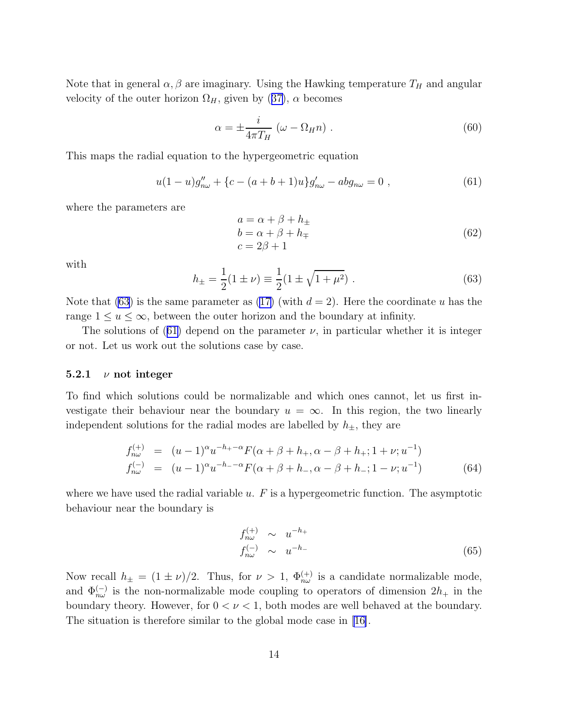<span id="page-14-0"></span>Note that in general  $\alpha, \beta$  are imaginary. Using the Hawking temperature  $T_H$  and angular velocityof the outer horizon  $\Omega_H$ , given by ([37\)](#page-8-0),  $\alpha$  becomes

$$
\alpha = \pm \frac{i}{4\pi T_H} \left( \omega - \Omega_H n \right) . \tag{60}
$$

This maps the radial equation to the hypergeometric equation

$$
u(1-u)g''_{n\omega} + \{c - (a+b+1)u\}g'_{n\omega} - abg_{n\omega} = 0,
$$
\n(61)

where the parameters are

$$
a = \alpha + \beta + h_{\pm}
$$
  
\n
$$
b = \alpha + \beta + h_{\mp}
$$
  
\n
$$
c = 2\beta + 1
$$
\n(62)

with

$$
h_{\pm} = \frac{1}{2}(1 \pm \nu) \equiv \frac{1}{2}(1 \pm \sqrt{1 + \mu^2}). \tag{63}
$$

Note that (63) is the same parameter as [\(17\)](#page-5-0) (with  $d = 2$ ). Here the coordinate u has the range  $1 \le u \le \infty$ , between the outer horizon and the boundary at infinity.

The solutions of (61) depend on the parameter  $\nu$ , in particular whether it is integer or not. Let us work out the solutions case by case.

#### 5.2.1  $\nu$  not integer

To find which solutions could be normalizable and which ones cannot, let us first investigate their behaviour near the boundary  $u = \infty$ . In this region, the two linearly independent solutions for the radial modes are labelled by  $h_{\pm}$ , they are

$$
f_{n\omega}^{(+)} = (u-1)^{\alpha} u^{-h_{+}-\alpha} F(\alpha + \beta + h_{+}, \alpha - \beta + h_{+}; 1 + \nu; u^{-1})
$$
  
\n
$$
f_{n\omega}^{(-)} = (u-1)^{\alpha} u^{-h_{-}-\alpha} F(\alpha + \beta + h_{-}, \alpha - \beta + h_{-}; 1 - \nu; u^{-1})
$$
\n(64)

where we have used the radial variable  $u$ .  $F$  is a hypergeometric function. The asymptotic behaviour near the boundary is

$$
f_{n\omega}^{(+)} \sim u^{-h_{+}}
$$
  
\n
$$
f_{n\omega}^{(-)} \sim u^{-h_{-}}
$$
\n(65)

Now recall  $h_{\pm} = (1 \pm \nu)/2$ . Thus, for  $\nu > 1$ ,  $\Phi_{n\omega}^{(+)}$  is a candidate normalizable mode, and  $\Phi_{n\omega}^{(-)}$  is the non-normalizable mode coupling to operators of dimension  $2h_+$  in the boundary theory. However, for  $0 < \nu < 1$ , both modes are well behaved at the boundary. The situation is therefore similar to the global mode case in [\[16\]](#page-21-0).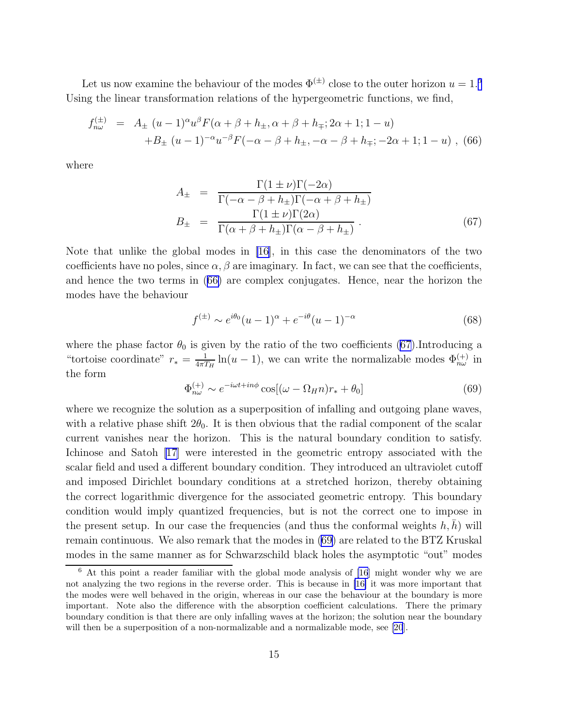<span id="page-15-0"></span>Let us now examine the behaviour of the modes  $\Phi^{(\pm)}$  close to the outer horizon  $u = 1.6$ Using the linear transformation relations of the hypergeometric functions, we find,

$$
f_{n\omega}^{(\pm)} = A_{\pm} (u - 1)^{\alpha} u^{\beta} F(\alpha + \beta + h_{\pm}, \alpha + \beta + h_{\mp}; 2\alpha + 1; 1 - u)
$$
  
+
$$
B_{\pm} (u - 1)^{-\alpha} u^{-\beta} F(-\alpha - \beta + h_{\pm}, -\alpha - \beta + h_{\mp}; -2\alpha + 1; 1 - u) ,
$$
(66)

where

$$
A_{\pm} = \frac{\Gamma(1 \pm \nu)\Gamma(-2\alpha)}{\Gamma(-\alpha - \beta + h_{\pm})\Gamma(-\alpha + \beta + h_{\pm})}
$$
  
\n
$$
B_{\pm} = \frac{\Gamma(1 \pm \nu)\Gamma(2\alpha)}{\Gamma(\alpha + \beta + h_{\pm})\Gamma(\alpha - \beta + h_{\pm})}.
$$
 (67)

Note that unlike the global modes in [\[16\]](#page-21-0), in this case the denominators of the two coefficients have no poles, since  $\alpha$ ,  $\beta$  are imaginary. In fact, we can see that the coefficients, and hence the two terms in (66) are complex conjugates. Hence, near the horizon the modes have the behaviour

$$
f^{(\pm)} \sim e^{i\theta_0} (u-1)^\alpha + e^{-i\theta} (u-1)^{-\alpha}
$$
 (68)

where the phase factor  $\theta_0$  is given by the ratio of the two coefficients (67).Introducing a "tortoise coordinate"  $r_* = \frac{1}{4\pi T}$  $\frac{1}{4\pi T_H} \ln(u-1)$ , we can write the normalizable modes  $\Phi_{n\omega}^{(+)}$  in the form

$$
\Phi_{n\omega}^{(+)} \sim e^{-i\omega t + in\phi} \cos[(\omega - \Omega_H n) r_* + \theta_0]
$$
\n(69)

where we recognize the solution as a superposition of infalling and outgoing plane waves, with a relative phase shift  $2\theta_0$ . It is then obvious that the radial component of the scalar current vanishes near the horizon. This is the natural boundary condition to satisfy. Ichinose and Satoh [\[17\]](#page-21-0) were interested in the geometric entropy associated with the scalar field and used a different boundary condition. They introduced an ultraviolet cutoff and imposed Dirichlet boundary conditions at a stretched horizon, thereby obtaining the correct logarithmic divergence for the associated geometric entropy. This boundary condition would imply quantized frequencies, but is not the correct one to impose in the present setup. In our case the frequencies (and thus the conformal weights  $h, h$ ) will remain continuous. We also remark that the modes in (69) are related to the BTZ Kruskal modes in the same manner as for Schwarzschild black holes the asymptotic "out" modes

<sup>6</sup> At this point a reader familiar with the global mode analysis of [\[16](#page-21-0)] might wonder why we are not analyzing the two regions in the reverse order. This is because in [\[16\]](#page-21-0) it was more important that the modes were well behaved in the origin, whereas in our case the behaviour at the boundary is more important. Note also the difference with the absorption coefficient calculations. There the primary boundary condition is that there are only infalling waves at the horizon; the solution near the boundary will then be a superposition of a non-normalizable and a normalizable mode, see [\[20](#page-21-0)].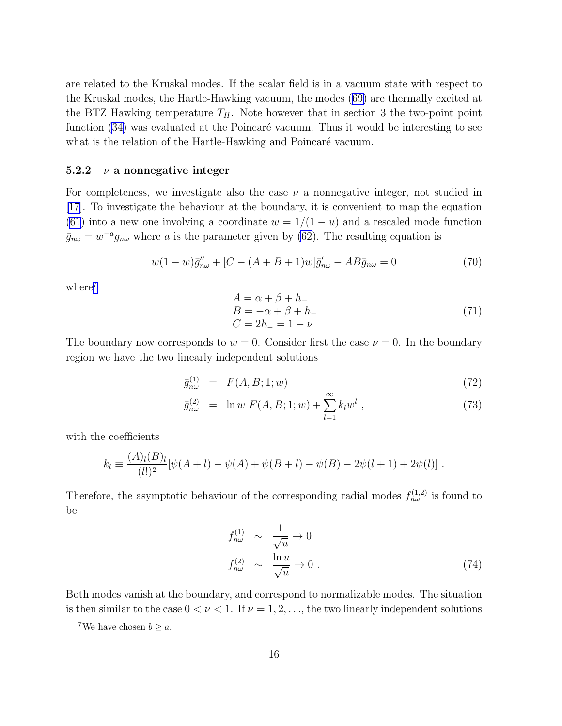are related to the Kruskal modes. If the scalar field is in a vacuum state with respect to the Kruskal modes, the Hartle-Hawking vacuum, the modes([69\)](#page-15-0) are thermally excited at the BTZ Hawking temperature  $T_H$ . Note however that in section 3 the two-point point function [\(34\)](#page-8-0) was evaluated at the Poincaré vacuum. Thus it would be interesting to see what is the relation of the Hartle-Hawking and Poincaré vacuum.

### 5.2.2  $\nu$  a nonnegative integer

For completeness, we investigate also the case  $\nu$  a nonnegative integer, not studied in [[17\]](#page-21-0). To investigate the behaviour at the boundary, it is convenient to map the equation [\(61](#page-14-0)) into a new one involving a coordinate  $w = 1/(1 - u)$  and a rescaled mode function  $\bar{g}_{n\omega} = w^{-a} g_{n\omega}$  where a is the parameter given by [\(62](#page-14-0)). The resulting equation is

$$
w(1-w)\bar{g}_{n\omega}'' + [C - (A + B + 1)w]\bar{g}_{n\omega}' - AB\bar{g}_{n\omega} = 0 \tag{70}
$$

where<sup>7</sup>

$$
A = \alpha + \beta + h_-
$$
  
\n
$$
B = -\alpha + \beta + h_-
$$
  
\n
$$
C = 2h_- = 1 - \nu
$$
\n(71)

The boundary now corresponds to  $w = 0$ . Consider first the case  $\nu = 0$ . In the boundary region we have the two linearly independent solutions

$$
\bar{g}^{(1)}_{n\omega} = F(A, B; 1; w) \tag{72}
$$

$$
\bar{g}_{n\omega}^{(2)} = \ln w \ F(A, B; 1; w) + \sum_{l=1}^{\infty} k_l w^l \ , \tag{73}
$$

with the coefficients

$$
k_l \equiv \frac{(A)_l(B)_l}{(l!)^2} [\psi(A+l) - \psi(A) + \psi(B+l) - \psi(B) - 2\psi(l+1) + 2\psi(l)].
$$

Therefore, the asymptotic behaviour of the corresponding radial modes  $f_{n\omega}^{(1,2)}$  is found to be

$$
f_{n\omega}^{(1)} \sim \frac{1}{\sqrt{u}} \to 0
$$
  

$$
f_{n\omega}^{(2)} \sim \frac{\ln u}{\sqrt{u}} \to 0.
$$
 (74)

Both modes vanish at the boundary, and correspond to normalizable modes. The situation is then similar to the case  $0 < \nu < 1$ . If  $\nu = 1, 2, \ldots$ , the two linearly independent solutions

<sup>&</sup>lt;sup>7</sup>We have chosen  $b \geq a$ .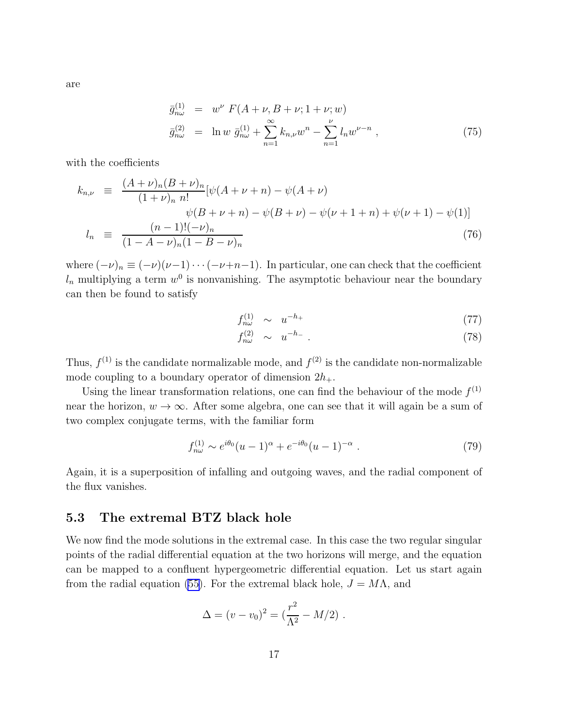are

$$
\bar{g}_{n\omega}^{(1)} = w^{\nu} F(A + \nu, B + \nu; 1 + \nu; w) \n\bar{g}_{n\omega}^{(2)} = \ln w \, \bar{g}_{n\omega}^{(1)} + \sum_{n=1}^{\infty} k_{n,\nu} w^n - \sum_{n=1}^{\nu} l_n w^{\nu - n} ,
$$
\n(75)

with the coefficients

$$
k_{n,\nu} \equiv \frac{(A+\nu)_n (B+\nu)_n}{(1+\nu)_n n!} [\psi(A+\nu+n) - \psi(A+\nu) \n\psi(B+\nu+n) - \psi(B+\nu) - \psi(\nu+1+n) + \psi(\nu+1) - \psi(1)]
$$
\n
$$
l_n \equiv \frac{(n-1)!(-\nu)_n}{(1-A-\nu)_n (1-B-\nu)_n}
$$
\n(76)

where  $(-\nu)_n \equiv (-\nu)(\nu-1)\cdots(-\nu+n-1)$ . In particular, one can check that the coefficient  $l_n$  multiplying a term  $w^0$  is nonvanishing. The asymptotic behaviour near the boundary can then be found to satisfy

$$
f_{n\omega}^{(1)} \sim u^{-h_+} \tag{77}
$$

$$
f_{n\omega}^{(2)} \sim u^{-h_{-}}.
$$
\n
$$
(78)
$$

Thus,  $f^{(1)}$  is the candidate normalizable mode, and  $f^{(2)}$  is the candidate non-normalizable mode coupling to a boundary operator of dimension  $2h_{+}$ .

Using the linear transformation relations, one can find the behaviour of the mode  $f^{(1)}$ near the horizon,  $w \to \infty$ . After some algebra, one can see that it will again be a sum of two complex conjugate terms, with the familiar form

$$
f_{n\omega}^{(1)} \sim e^{i\theta_0} (u-1)^\alpha + e^{-i\theta_0} (u-1)^{-\alpha} . \tag{79}
$$

Again, it is a superposition of infalling and outgoing waves, and the radial component of the flux vanishes.

#### 5.3 The extremal BTZ black hole

We now find the mode solutions in the extremal case. In this case the two regular singular points of the radial differential equation at the two horizons will merge, and the equation can be mapped to a confluent hypergeometric differential equation. Let us start again from the radial equation [\(55\)](#page-13-0). For the extremal black hole,  $J = M\Lambda$ , and

$$
\Delta = (v - v_0)^2 = (\frac{r^2}{\Lambda^2} - M/2) \; .
$$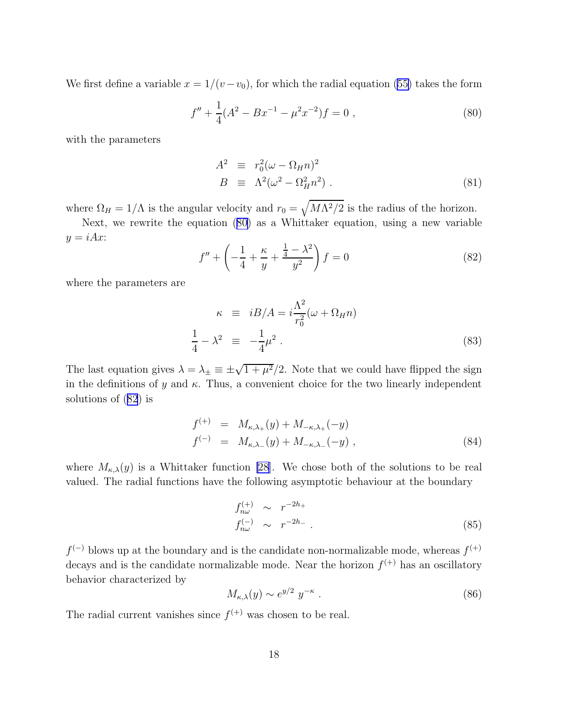We first define a variable  $x = 1/(v - v_0)$ , for which the radial equation [\(55\)](#page-13-0) takes the form

$$
f'' + \frac{1}{4}(A^2 - Bx^{-1} - \mu^2 x^{-2})f = 0,
$$
\n(80)

with the parameters

$$
A2 \equiv r_02(\omega - \Omega_H n)2
$$
  
\n
$$
B \equiv \Lambda2(\omega2 - \Omega_H^2 n2) . \tag{81}
$$

where  $\Omega_H = 1/\Lambda$  is the angular velocity and  $r_0 = \sqrt{M\Lambda^2/2}$  is the radius of the horizon.

Next, we rewrite the equation (80) as a Whittaker equation, using a new variable  $y = iAx$ :

$$
f'' + \left(-\frac{1}{4} + \frac{\kappa}{y} + \frac{\frac{1}{4} - \lambda^2}{y^2}\right)f = 0
$$
\n(82)

where the parameters are

$$
\kappa \equiv iB/A = i\frac{\Lambda^2}{r_0^2}(\omega + \Omega_H n)
$$
  
\n
$$
\frac{1}{4} - \lambda^2 \equiv -\frac{1}{4}\mu^2
$$
 (83)

The last equation gives  $\lambda = \lambda_{\pm} \equiv \pm \sqrt{1 + \mu^2}/2$ . Note that we could have flipped the sign in the definitions of y and  $\kappa$ . Thus, a convenient choice for the two linearly independent solutions of (82) is

$$
f^{(+)} = M_{\kappa,\lambda_{+}}(y) + M_{-\kappa,\lambda_{+}}(-y)
$$
  

$$
f^{(-)} = M_{\kappa,\lambda_{-}}(y) + M_{-\kappa,\lambda_{-}}(-y),
$$
 (84)

where  $M_{\kappa,\lambda}(y)$  is a Whittaker function [\[28](#page-22-0)]. We chose both of the solutions to be real valued. The radial functions have the following asymptotic behaviour at the boundary

$$
f_{n\omega}^{(+)} \sim r^{-2h_{+}}
$$
  
\n
$$
f_{n\omega}^{(-)} \sim r^{-2h_{-}}.
$$
\n(85)

 $f<sup>(-)</sup>$  blows up at the boundary and is the candidate non-normalizable mode, whereas  $f<sup>(+)</sup>$ </sup> decays and is the candidate normalizable mode. Near the horizon  $f^{(+)}$  has an oscillatory behavior characterized by

$$
M_{\kappa,\lambda}(y) \sim e^{y/2} y^{-\kappa} \tag{86}
$$

The radial current vanishes since  $f^{(+)}$  was chosen to be real.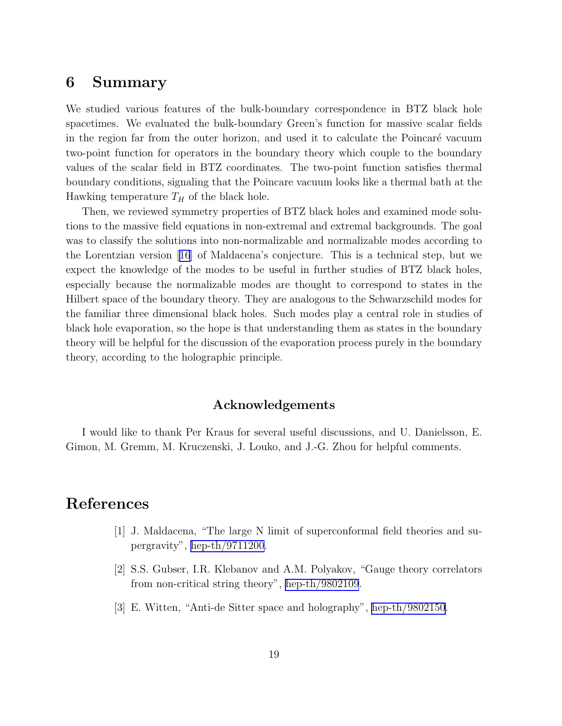### <span id="page-19-0"></span>6 Summary

We studied various features of the bulk-boundary correspondence in BTZ black hole spacetimes. We evaluated the bulk-boundary Green's function for massive scalar fields in the region far from the outer horizon, and used it to calculate the Poincaré vacuum two-point function for operators in the boundary theory which couple to the boundary values of the scalar field in BTZ coordinates. The two-point function satisfies thermal boundary conditions, signaling that the Poincare vacuum looks like a thermal bath at the Hawking temperature  $T_H$  of the black hole.

Then, we reviewed symmetry properties of BTZ black holes and examined mode solutions to the massive field equations in non-extremal and extremal backgrounds. The goal was to classify the solutions into non-normalizable and normalizable modes according to the Lorentzian version[[16](#page-21-0)] of Maldacena's conjecture. This is a technical step, but we expect the knowledge of the modes to be useful in further studies of BTZ black holes, especially because the normalizable modes are thought to correspond to states in the Hilbert space of the boundary theory. They are analogous to the Schwarzschild modes for the familiar three dimensional black holes. Such modes play a central role in studies of black hole evaporation, so the hope is that understanding them as states in the boundary theory will be helpful for the discussion of the evaporation process purely in the boundary theory, according to the holographic principle.

### Acknowledgements

I would like to thank Per Kraus for several useful discussions, and U. Danielsson, E. Gimon, M. Gremm, M. Kruczenski, J. Louko, and J.-G. Zhou for helpful comments.

## References

- [1] J. Maldacena, "The large N limit of superconformal field theories and supergravity", [hep-th/9711200](http://arxiv.org/abs/hep-th/9711200).
- [2] S.S. Gubser, I.R. Klebanov and A.M. Polyakov, "Gauge theory correlators from non-critical string theory", [hep-th/9802109](http://arxiv.org/abs/hep-th/9802109).
- [3] E. Witten, "Anti-de Sitter space and holography", [hep-th/9802150](http://arxiv.org/abs/hep-th/9802150).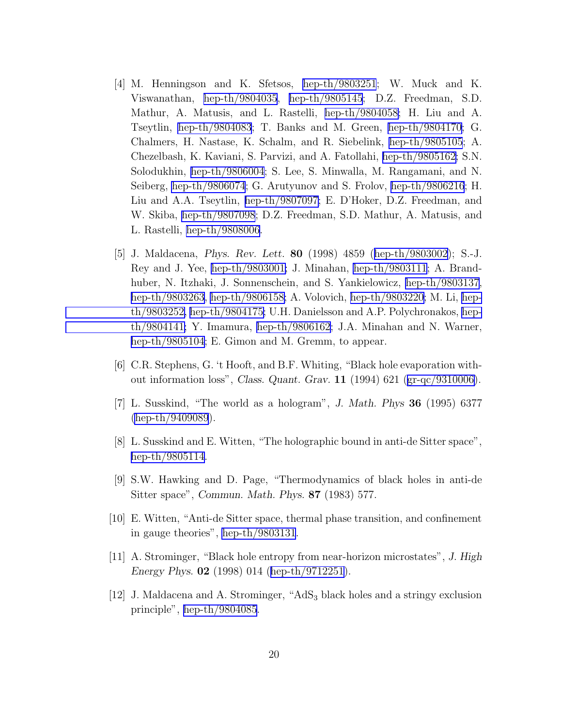- <span id="page-20-0"></span>[4] M. Henningson and K. Sfetsos, [hep-th/9803251](http://arxiv.org/abs/hep-th/9803251); W. Muck and K. Viswanathan, [hep-th/9804035](http://arxiv.org/abs/hep-th/9804035), [hep-th/9805145](http://arxiv.org/abs/hep-th/9805145); D.Z. Freedman, S.D. Mathur, A. Matusis, and L. Rastelli, [hep-th/9804058;](http://arxiv.org/abs/hep-th/9804058) H. Liu and A. Tseytlin, [hep-th/9804083](http://arxiv.org/abs/hep-th/9804083); T. Banks and M. Green, [hep-th/9804170](http://arxiv.org/abs/hep-th/9804170); G. Chalmers, H. Nastase, K. Schalm, and R. Siebelink, [hep-th/9805105](http://arxiv.org/abs/hep-th/9805105); A. Chezelbash, K. Kaviani, S. Parvizi, and A. Fatollahi, [hep-th/9805162;](http://arxiv.org/abs/hep-th/9805162) S.N. Solodukhin, [hep-th/9806004](http://arxiv.org/abs/hep-th/9806004); S. Lee, S. Minwalla, M. Rangamani, and N. Seiberg, [hep-th/9806074](http://arxiv.org/abs/hep-th/9806074); G. Arutyunov and S. Frolov, [hep-th/9806216](http://arxiv.org/abs/hep-th/9806216); H. Liu and A.A. Tseytlin, [hep-th/9807097;](http://arxiv.org/abs/hep-th/9807097) E. D'Hoker, D.Z. Freedman, and W. Skiba, [hep-th/9807098](http://arxiv.org/abs/hep-th/9807098); D.Z. Freedman, S.D. Mathur, A. Matusis, and L. Rastelli, [hep-th/9808006](http://arxiv.org/abs/hep-th/9808006).
- [5] J. Maldacena, Phys. Rev. Lett. 80 (1998) 4859([hep-th/9803002\)](http://arxiv.org/abs/hep-th/9803002); S.-J. Rey and J. Yee, [hep-th/9803001;](http://arxiv.org/abs/hep-th/9803001) J. Minahan, [hep-th/9803111](http://arxiv.org/abs/hep-th/9803111); A. Brandhuber, N. Itzhaki, J. Sonnenschein, and S. Yankielowicz, [hep-th/9803137](http://arxiv.org/abs/hep-th/9803137), [hep-th/9803263,](http://arxiv.org/abs/hep-th/9803263) [hep-th/9806158;](http://arxiv.org/abs/hep-th/9806158) A. Volovich, [hep-th/9803220;](http://arxiv.org/abs/hep-th/9803220) M. Li, [hep](http://arxiv.org/abs/hep-th/9803252)[th/9803252,](http://arxiv.org/abs/hep-th/9803252) [hep-th/9804175;](http://arxiv.org/abs/hep-th/9804175) U.H. Danielsson and A.P. Polychronakos, [hep](http://arxiv.org/abs/hep-th/9804141)[th/9804141;](http://arxiv.org/abs/hep-th/9804141) Y. Imamura, [hep-th/9806162](http://arxiv.org/abs/hep-th/9806162); J.A. Minahan and N. Warner, [hep-th/9805104;](http://arxiv.org/abs/hep-th/9805104) E. Gimon and M. Gremm, to appear.
- [6] C.R. Stephens, G. 't Hooft, and B.F. Whiting, "Black hole evaporation without information loss", Class. Quant. Grav. 11 (1994) 621([gr-qc/9310006\)](http://arxiv.org/abs/gr-qc/9310006).
- [7] L. Susskind, "The world as a hologram", J. Math. Phys 36 (1995) 6377 [\(hep-th/9409089](http://arxiv.org/abs/hep-th/9409089)).
- [8] L. Susskind and E. Witten, "The holographic bound in anti-de Sitter space", [hep-th/9805114.](http://arxiv.org/abs/hep-th/9805114)
- [9] S.W. Hawking and D. Page, "Thermodynamics of black holes in anti-de Sitter space", Commun. Math. Phys. 87 (1983) 577.
- [10] E. Witten, "Anti-de Sitter space, thermal phase transition, and confinement in gauge theories", [hep-th/9803131](http://arxiv.org/abs/hep-th/9803131).
- [11] A. Strominger, "Black hole entropy from near-horizon microstates", J. High Energy Phys. 02 (1998) 014([hep-th/9712251\)](http://arxiv.org/abs/hep-th/9712251).
- [12] J. Maldacena and A. Strominger, "AdS<sup>3</sup> black holes and a stringy exclusion principle", [hep-th/9804085](http://arxiv.org/abs/hep-th/9804085).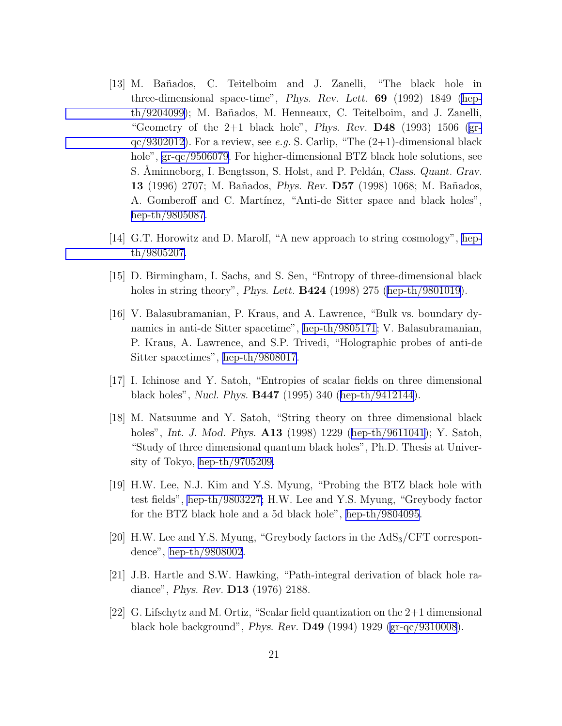- <span id="page-21-0"></span>[13] M. Ba˜nados, C. Teitelboim and J. Zanelli, "The black hole in three-dimensional space-time", Phys. Rev. Lett. 69 (1992) 1849 [\(hep](http://arxiv.org/abs/hep-th/9204099)[th/9204099\)](http://arxiv.org/abs/hep-th/9204099); M. Bañados, M. Henneaux, C. Teitelboim, and J. Zanelli, "Geometry of the  $2+1$  black hole", *Phys. Rev.* **D48** (1993) 1506 [\(gr](http://arxiv.org/abs/gr-qc/9302012)[qc/9302012](http://arxiv.org/abs/gr-qc/9302012)). For a review, see *e.g.* S. Carlip, "The (2+1)-dimensional black hole", [gr-qc/9506079](http://arxiv.org/abs/gr-qc/9506079). For higher-dimensional BTZ black hole solutions, see S. Aminneborg, I. Bengtsson, S. Holst, and P. Peldán, Class. Quant. Grav. 13 (1996) 2707; M. Bañados, *Phys. Rev.* **D57** (1998) 1068; M. Bañados, A. Gomberoff and C. Martínez, "Anti-de Sitter space and black holes", [hep-th/9805087.](http://arxiv.org/abs/hep-th/9805087)
- [14] G.T. Horowitz and D. Marolf, "A new approach to string cosmology", [hep](http://arxiv.org/abs/hep-th/9805207)[th/9805207.](http://arxiv.org/abs/hep-th/9805207)
- [15] D. Birmingham, I. Sachs, and S. Sen, "Entropy of three-dimensional black holesin string theory", *Phys. Lett.* **B424** (1998) 275 ([hep-th/9801019\)](http://arxiv.org/abs/hep-th/9801019).
- [16] V. Balasubramanian, P. Kraus, and A. Lawrence, "Bulk vs. boundary dynamics in anti-de Sitter spacetime", [hep-th/9805171](http://arxiv.org/abs/hep-th/9805171); V. Balasubramanian, P. Kraus, A. Lawrence, and S.P. Trivedi, "Holographic probes of anti-de Sitter spacetimes", [hep-th/9808017](http://arxiv.org/abs/hep-th/9808017).
- [17] I. Ichinose and Y. Satoh, "Entropies of scalar fields on three dimensional black holes", Nucl. Phys. B447 (1995) 340([hep-th/9412144\)](http://arxiv.org/abs/hep-th/9412144).
- [18] M. Natsuume and Y. Satoh, "String theory on three dimensional black holes",*Int. J. Mod. Phys.* **A13** (1998) 1229 ([hep-th/9611041\)](http://arxiv.org/abs/hep-th/9611041); Y. Satoh, "Study of three dimensional quantum black holes", Ph.D. Thesis at University of Tokyo, [hep-th/9705209.](http://arxiv.org/abs/hep-th/9705209)
- [19] H.W. Lee, N.J. Kim and Y.S. Myung, "Probing the BTZ black hole with test fields", [hep-th/9803227;](http://arxiv.org/abs/hep-th/9803227) H.W. Lee and Y.S. Myung, "Greybody factor for the BTZ black hole and a 5d black hole", [hep-th/9804095](http://arxiv.org/abs/hep-th/9804095).
- [20] H.W. Lee and Y.S. Myung, "Greybody factors in the  $AdS_3/CFT$  correspondence", [hep-th/9808002](http://arxiv.org/abs/hep-th/9808002).
- [21] J.B. Hartle and S.W. Hawking, "Path-integral derivation of black hole radiance", Phys. Rev. D13 (1976) 2188.
- [22] G. Lifschytz and M. Ortiz, "Scalar field quantization on the 2+1 dimensional black hole background", Phys. Rev. D49 (1994) 1929 [\(gr-qc/9310008](http://arxiv.org/abs/gr-qc/9310008)).